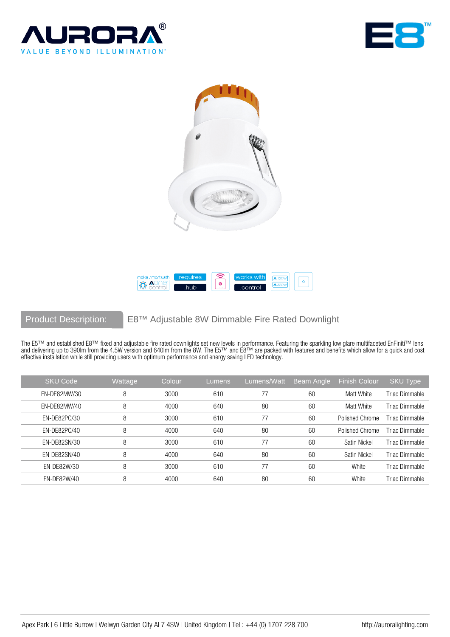







## Product Description: E8™ Adjustable 8W Dimmable Fire Rated Downlight

The E5™ and established E8™ fixed and adjustable fire rated downlights set new levels in performance. Featuring the sparkling low glare multifaceted EnFiniti™ lens and delivering up to 390lm from the 4.5W version and 640lm from the 8W. The E5™ and E8™ are packed with features and benefits which allow for a quick and cost effective installation while still providing users with optimum performance and energy saving LED technology.

| <b>SKU Code</b> | Wattage | Colour | Lumens | Lumens/Watt | Beam Angle | <b>Finish Colour</b> | SKU Type       |
|-----------------|---------|--------|--------|-------------|------------|----------------------|----------------|
| EN-DE82MW/30    | 8       | 3000   | 610    | 77          | 60         | Matt White           | Triac Dimmable |
| EN-DE82MW/40    | 8       | 4000   | 640    | 80          | 60         | Matt White           | Triac Dimmable |
| EN-DE82PC/30    | 8       | 3000   | 610    | 77          | 60         | Polished Chrome      | Triac Dimmable |
| FN-DF82PC/40    | 8       | 4000   | 640    | 80          | 60         | Polished Chrome      | Triac Dimmable |
| EN-DE82SN/30    | 8       | 3000   | 610    | 77          | 60         | Satin Nickel         | Triac Dimmable |
| EN-DE82SN/40    | 8       | 4000   | 640    | 80          | 60         | Satin Nickel         | Triac Dimmable |
| EN-DE82W/30     | 8       | 3000   | 610    | 77          | 60         | White                | Triac Dimmable |
| EN-DE82W/40     | 8       | 4000   | 640    | 80          | 60         | White                | Triac Dimmable |